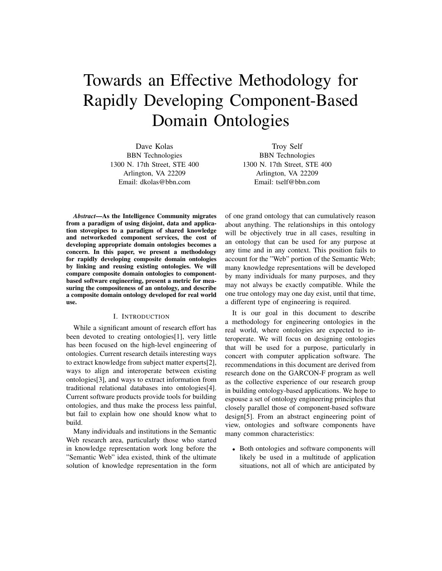# Towards an Effective Methodology for Rapidly Developing Component-Based Domain Ontologies

Dave Kolas BBN Technologies 1300 N. 17th Street, STE 400 Arlington, VA 22209 Email: dkolas@bbn.com

Troy Self BBN Technologies 1300 N. 17th Street, STE 400 Arlington, VA 22209 Email: tself@bbn.com

*Abstract*—As the Intelligence Community migrates from a paradigm of using disjoint, data and application stovepipes to a paradigm of shared knowledge and networkeded component services, the cost of developing appropriate domain ontologies becomes a concern. In this paper, we present a methodology for rapidly developing composite domain ontologies by linking and reusing existing ontologies. We will compare composite domain ontologies to componentbased software engineering, present a metric for measuring the compositeness of an ontology, and describe a composite domain ontology developed for real world use.

## I. INTRODUCTION

While a significant amount of research effort has been devoted to creating ontologies[1], very little has been focused on the high-level engineering of ontologies. Current research details interesting ways to extract knowledge from subject matter experts[2], ways to align and interoperate between existing ontologies[3], and ways to extract information from traditional relational databases into ontologies[4]. Current software products provide tools for building ontologies, and thus make the process less painful, but fail to explain how one should know what to build.

Many individuals and institutions in the Semantic Web research area, particularly those who started in knowledge representation work long before the "Semantic Web" idea existed, think of the ultimate solution of knowledge representation in the form of one grand ontology that can cumulatively reason about anything. The relationships in this ontology will be objectively true in all cases, resulting in an ontology that can be used for any purpose at any time and in any context. This position fails to account for the "Web" portion of the Semantic Web; many knowledge representations will be developed by many individuals for many purposes, and they may not always be exactly compatible. While the one true ontology may one day exist, until that time, a different type of engineering is required.

It is our goal in this document to describe a methodology for engineering ontologies in the real world, where ontologies are expected to interoperate. We will focus on designing ontologies that will be used for a purpose, particularly in concert with computer application software. The recommendations in this document are derived from research done on the GARCON-F program as well as the collective experience of our research group in building ontology-based applications. We hope to espouse a set of ontology engineering principles that closely parallel those of component-based software design[5]. From an abstract engineering point of view, ontologies and software components have many common characteristics:

• Both ontologies and software components will likely be used in a multitude of application situations, not all of which are anticipated by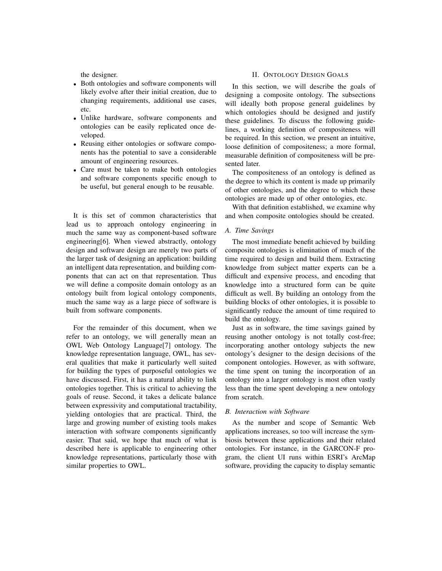the designer.

- Both ontologies and software components will likely evolve after their initial creation, due to changing requirements, additional use cases, etc.
- Unlike hardware, software components and ontologies can be easily replicated once developed.
- Reusing either ontologies or software components has the potential to save a considerable amount of engineering resources.
- Care must be taken to make both ontologies and software components specific enough to be useful, but general enough to be reusable.

It is this set of common characteristics that lead us to approach ontology engineering in much the same way as component-based software engineering[6]. When viewed abstractly, ontology design and software design are merely two parts of the larger task of designing an application: building an intelligent data representation, and building components that can act on that representation. Thus we will define a composite domain ontology as an ontology built from logical ontology components, much the same way as a large piece of software is built from software components.

For the remainder of this document, when we refer to an ontology, we will generally mean an OWL Web Ontology Language[7] ontology. The knowledge representation language, OWL, has several qualities that make it particularly well suited for building the types of purposeful ontologies we have discussed. First, it has a natural ability to link ontologies together. This is critical to achieving the goals of reuse. Second, it takes a delicate balance between expressivity and computational tractability, yielding ontologies that are practical. Third, the large and growing number of existing tools makes interaction with software components significantly easier. That said, we hope that much of what is described here is applicable to engineering other knowledge representations, particularly those with similar properties to OWL.

## II. ONTOLOGY DESIGN GOALS

In this section, we will describe the goals of designing a composite ontology. The subsections will ideally both propose general guidelines by which ontologies should be designed and justify these guidelines. To discuss the following guidelines, a working definition of compositeness will be required. In this section, we present an intuitive, loose definition of compositeness; a more formal, measurable definition of compositeness will be presented later.

The compositeness of an ontology is defined as the degree to which its content is made up primarily of other ontologies, and the degree to which these ontologies are made up of other ontologies, etc.

With that definition established, we examine why and when composite ontologies should be created.

## *A. Time Savings*

The most immediate benefit achieved by building composite ontologies is elimination of much of the time required to design and build them. Extracting knowledge from subject matter experts can be a difficult and expensive process, and encoding that knowledge into a structured form can be quite difficult as well. By building an ontology from the building blocks of other ontologies, it is possible to significantly reduce the amount of time required to build the ontology.

Just as in software, the time savings gained by reusing another ontology is not totally cost-free; incorporating another ontology subjects the new ontology's designer to the design decisions of the component ontologies. However, as with software, the time spent on tuning the incorporation of an ontology into a larger ontology is most often vastly less than the time spent developing a new ontology from scratch.

## *B. Interaction with Software*

As the number and scope of Semantic Web applications increases, so too will increase the symbiosis between these applications and their related ontologies. For instance, in the GARCON-F program, the client UI runs within ESRI's ArcMap software, providing the capacity to display semantic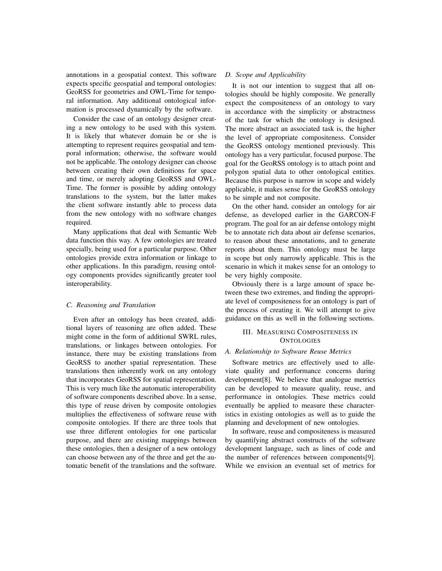annotations in a geospatial context. This software expects specific geospatial and temporal ontologies: GeoRSS for geometries and OWL-Time for temporal information. Any additional ontological information is processed dynamically by the software.

Consider the case of an ontology designer creating a new ontology to be used with this system. It is likely that whatever domain he or she is attempting to represent requires geospatial and temporal information; otherwise, the software would not be applicable. The ontology designer can choose between creating their own definitions for space and time, or merely adopting GeoRSS and OWL-Time. The former is possible by adding ontology translations to the system, but the latter makes the client software instantly able to process data from the new ontology with no software changes required.

Many applications that deal with Semantic Web data function this way. A few ontologies are treated specially, being used for a particular purpose. Other ontologies provide extra information or linkage to other applications. In this paradigm, reusing ontology components provides significantly greater tool interoperability.

#### *C. Reasoning and Translation*

Even after an ontology has been created, additional layers of reasoning are often added. These might come in the form of additional SWRL rules, translations, or linkages between ontologies. For instance, there may be existing translations from GeoRSS to another spatial representation. These translations then inherently work on any ontology that incorporates GeoRSS for spatial representation. This is very much like the automatic interoperability of software components described above. In a sense, this type of reuse driven by composite ontologies multiplies the effectiveness of software reuse with composite ontologies. If there are three tools that use three different ontologies for one particular purpose, and there are existing mappings between these ontologies, then a designer of a new ontology can choose between any of the three and get the automatic benefit of the translations and the software.

## *D. Scope and Applicability*

It is not our intention to suggest that all ontologies should be highly composite. We generally expect the compositeness of an ontology to vary in accordance with the simplicity or abstractness of the task for which the ontology is designed. The more abstract an associated task is, the higher the level of appropriate compositeness. Consider the GeoRSS ontology mentioned previously. This ontology has a very particular, focused purpose. The goal for the GeoRSS ontology is to attach point and polygon spatial data to other ontological entities. Because this purpose is narrow in scope and widely applicable, it makes sense for the GeoRSS ontology to be simple and not composite.

On the other hand, consider an ontology for air defense, as developed earlier in the GARCON-F program. The goal for an air defense ontology might be to annotate rich data about air defense scenarios, to reason about these annotations, and to generate reports about them. This ontology must be large in scope but only narrowly applicable. This is the scenario in which it makes sense for an ontology to be very highly composite.

Obviously there is a large amount of space between these two extremes, and finding the appropriate level of compositeness for an ontology is part of the process of creating it. We will attempt to give guidance on this as well in the following sections.

# III. MEASURING COMPOSITENESS IN **ONTOLOGIES**

#### *A. Relationship to Software Reuse Metrics*

Software metrics are effectively used to alleviate quality and performance concerns during development[8]. We believe that analogue metrics can be developed to measure quality, reuse, and performance in ontologies. These metrics could eventually be applied to measure these characteristics in existing ontologies as well as to guide the planning and development of new ontologies.

In software, reuse and compositeness is measured by quantifying abstract constructs of the software development language, such as lines of code and the number of references between components[9]. While we envision an eventual set of metrics for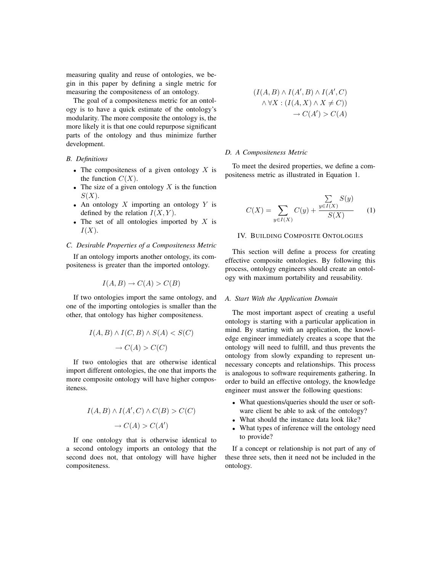measuring quality and reuse of ontologies, we begin in this paper by defining a single metric for measuring the compositeness of an ontology.

The goal of a compositeness metric for an ontology is to have a quick estimate of the ontology's modularity. The more composite the ontology is, the more likely it is that one could repurpose significant parts of the ontology and thus minimize further development.

# *B. Definitions*

- The compositeness of a given ontology *X* is the function  $C(X)$ .
- The size of a given ontology  $X$  is the function *S*(*X*).
- An ontology *X* importing an ontology *Y* is defined by the relation  $I(X, Y)$ .
- The set of all ontologies imported by *X* is *I*(*X*).

#### *C. Desirable Properties of a Compositeness Metric*

If an ontology imports another ontology, its compositeness is greater than the imported ontology.

$$
I(A, B) \to C(A) > C(B)
$$

If two ontologies import the same ontology, and one of the importing ontologies is smaller than the other, that ontology has higher compositeness.

$$
I(A, B) \land I(C, B) \land S(A) < S(C) \\
\to C(A) > C(C)
$$

If two ontologies that are otherwise identical import different ontologies, the one that imports the more composite ontology will have higher compositeness.

$$
I(A, B) \land I(A', C) \land C(B) > C(C)
$$

$$
\rightarrow C(A) > C(A')
$$

If one ontology that is otherwise identical to a second ontology imports an ontology that the second does not, that ontology will have higher compositeness.

$$
(I(A, B) \land I(A', B) \land I(A', C)
$$

$$
\land \forall X : (I(A, X) \land X \neq C))
$$

$$
\rightarrow C(A') > C(A)
$$

#### *D. A Compositeness Metric*

To meet the desired properties, we define a compositeness metric as illustrated in Equation 1.

$$
C(X) = \sum_{y \in I(X)} C(y) + \frac{\sum_{y \in I(X)} S(y)}{S(X)}
$$
 (1)

#### IV. BUILDING COMPOSITE ONTOLOGIES

This section will define a process for creating effective composite ontologies. By following this process, ontology engineers should create an ontology with maximum portability and reusability.

#### *A. Start With the Application Domain*

The most important aspect of creating a useful ontology is starting with a particular application in mind. By starting with an application, the knowledge engineer immediately creates a scope that the ontology will need to fulfill, and thus prevents the ontology from slowly expanding to represent unnecessary concepts and relationships. This process is analogous to software requirements gathering. In order to build an effective ontology, the knowledge engineer must answer the following questions:

- What questions/queries should the user or software client be able to ask of the ontology?
- What should the instance data look like?
- What types of inference will the ontology need to provide?

If a concept or relationship is not part of any of these three sets, then it need not be included in the ontology.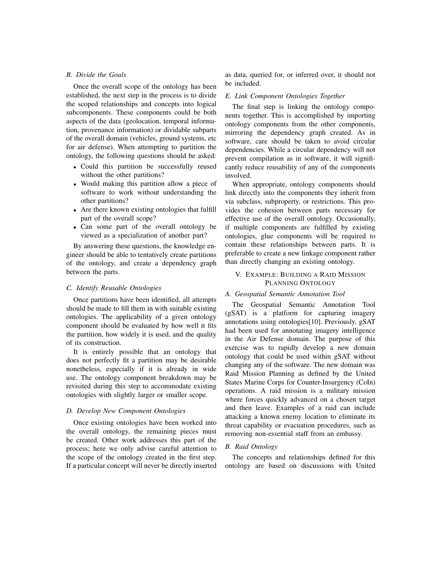## *B. Divide the Goals*

Once the overall scope of the ontology has been established, the next step in the process is to divide the scoped relationships and concepts into logical subcomponents. These components could be both aspects of the data (geolocation, temporal information, provenance information) or dividable subparts of the overall domain (vehicles, ground systems, etc for air defense). When attempting to partition the ontology, the following questions should be asked:

- Could this partition be successfully reused without the other partitions?
- Would making this partition allow a piece of software to work without understanding the other partitions?
- Are there known existing ontologies that fulfill part of the overall scope?
- Can some part of the overall ontology be viewed as a specialization of another part?

By answering these questions, the knowledge engineer should be able to tentatively create partitions of the ontology, and create a dependency graph between the parts.

## *C. Identify Reusable Ontologies*

Once partitions have been identified, all attempts should be made to fill them in with suitable existing ontologies. The applicability of a given ontology component should be evaluated by how well it fits the partition, how widely it is used, and the quality of its construction.

It is entirely possible that an ontology that does not perfectly fit a partition may be desirable nonetheless, especially if it is already in wide use. The ontology component breakdown may be revisited during this step to accommodate existing ontologies with slightly larger or smaller scope.

#### *D. Develop New Component Ontologies*

Once existing ontologies have been worked into the overall ontology, the remaining pieces must be created. Other work addresses this part of the process; here we only advise careful attention to the scope of the ontology created in the first step. If a particular concept will never be directly inserted as data, queried for, or inferred over, it should not be included.

#### *E. Link Component Ontologies Together*

The final step is linking the ontology components together. This is accomplished by importing ontology components from the other components, mirroring the dependency graph created. As in software, care should be taken to avoid circular dependencies. While a circular dependency will not prevent compilation as in software, it will significantly reduce reusability of any of the components involved.

When appropriate, ontology components should link directly into the components they inherit from via subclass, subproperty, or restrictions. This provides the cohesion between parts necessary for effective use of the overall ontology. Occasionally, if multiple components are fulfilled by existing ontologies, glue components will be required to contain these relationships between parts. It is preferable to create a new linkage component rather than directly changing an existing ontology.

## V. EXAMPLE: BUILDING A RAID MISSION PLANNING ONTOLOGY

## *A. Geospatial Semantic Annotation Tool*

The Geospatial Semantic Annotation Tool (gSAT) is a platform for capturing imagery annotations using ontologies[10]. Previously, gSAT had been used for annotating imagery intelligence in the Air Defense domain. The purpose of this exercise was to rapidly develop a new domain ontology that could be used within gSAT without changing any of the software. The new domain was Raid Mission Planning as defined by the United States Marine Corps for Counter-Insurgency (CoIn) operations. A raid mission is a military mission where forces quickly advanced on a chosen target and then leave. Examples of a raid can include attacking a known enemy location to eliminate its threat capability or evacuation procedures, such as removing non-essential staff from an embassy.

#### *B. Raid Ontology*

The concepts and relationships defined for this ontology are based on discussions with United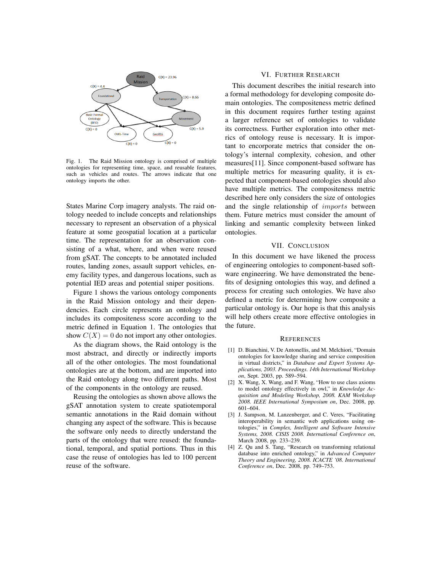

Fig. 1. The Raid Mission ontology is comprised of multiple ontologies for representing time, space, and reusable features, such as vehicles and routes. The arrows indicate that one ontology imports the other.

States Marine Corp imagery analysts. The raid ontology needed to include concepts and relationships necessary to represent an observation of a physical feature at some geospatial location at a particular time. The representation for an observation consisting of a what, where, and when were reused from gSAT. The concepts to be annotated included routes, landing zones, assault support vehicles, enemy facility types, and dangerous locations, such as potential IED areas and potential sniper positions.

Figure 1 shows the various ontology components in the Raid Mission ontology and their dependencies. Each circle represents an ontology and includes its compositeness score according to the metric defined in Equation 1. The ontologies that show  $C(X) = 0$  do not import any other ontologies.

As the diagram shows, the Raid ontology is the most abstract, and directly or indirectly imports all of the other ontologies. The most foundational ontologies are at the bottom, and are imported into the Raid ontology along two different paths. Most of the components in the ontology are reused.

Reusing the ontologies as shown above allows the gSAT annotation system to create spatiotemporal semantic annotations in the Raid domain without changing any aspect of the software. This is because the software only needs to directly understand the parts of the ontology that were reused: the foundational, temporal, and spatial portions. Thus in this case the reuse of ontologies has led to 100 percent reuse of the software.

## VI. FURTHER RESEARCH

This document describes the initial research into a formal methodology for developing composite domain ontologies. The compositeness metric defined in this document requires further testing against a larger reference set of ontologies to validate its correctness. Further exploration into other metrics of ontology reuse is necessary. It is important to encorporate metrics that consider the ontology's internal complexity, cohesion, and other measures[11]. Since component-based software has multiple metrics for measuring quality, it is expected that component-based ontologies should also have multiple metrics. The compositeness metric described here only considers the size of ontologies and the single relationship of *imports* between them. Future metrics must consider the amount of linking and semantic complexity between linked ontologies.

#### VII. CONCLUSION

In this document we have likened the process of engineering ontologies to component-based software engineering. We have demonstrated the benefits of designing ontologies this way, and defined a process for creating such ontologies. We have also defined a metric for determining how composite a particular ontology is. Our hope is that this analysis will help others create more effective ontologies in the future.

#### **REFERENCES**

- [1] D. Bianchini, V. De Antonellis, and M. Melchiori, "Domain ontologies for knowledge sharing and service composition in virtual districts," in *Database and Expert Systems Applications, 2003. Proceedings. 14th International Workshop on*, Sept. 2003, pp. 589–594.
- [2] X. Wang, X. Wang, and F. Wang, "How to use class axioms to model ontology effectively in owl," in *Knowledge Acquisition and Modeling Workshop, 2008. KAM Workshop 2008. IEEE International Symposium on*, Dec. 2008, pp. 601–604.
- [3] J. Sampson, M. Lanzenberger, and C. Veres, "Facilitating interoperability in semantic web applications using ontologies," in *Complex, Intelligent and Software Intensive Systems, 2008. CISIS 2008. International Conference on*, March 2008, pp. 233–239.
- [4] Z. Qu and S. Tang, "Research on transforming relational database into enriched ontology," in *Advanced Computer Theory and Engineering, 2008. ICACTE '08. International Conference on*, Dec. 2008, pp. 749–753.